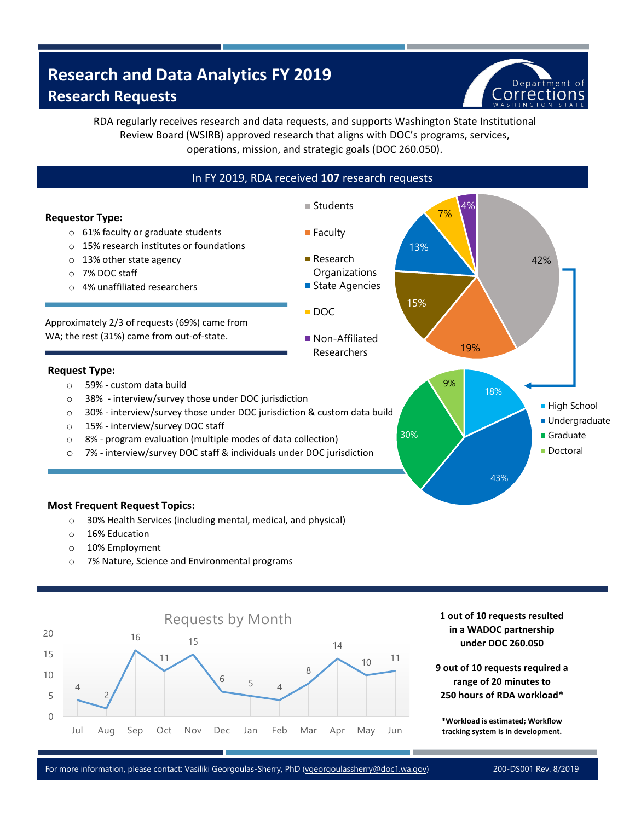# **Research and Data Analytics FY 2019 Research Requests**



RDA regularly receives research and data requests, and supports Washington State Institutional Review Board (WSIRB) approved research that aligns with DOC's programs, services, operations, mission, and strategic goals (DOC 260.050).



- o 30% Health Services (including mental, medical, and physical)
- o 16% Education
- o 10% Employment
- o 7% Nature, Science and Environmental programs



**1 out of 10 requests resulted in a WADOC partnership under DOC 260.050** 

**9 out of 10 requests required a range of 20 minutes to 250 hours of RDA workload\***

**\*Workload is estimated; Workflow tracking system is in development.**